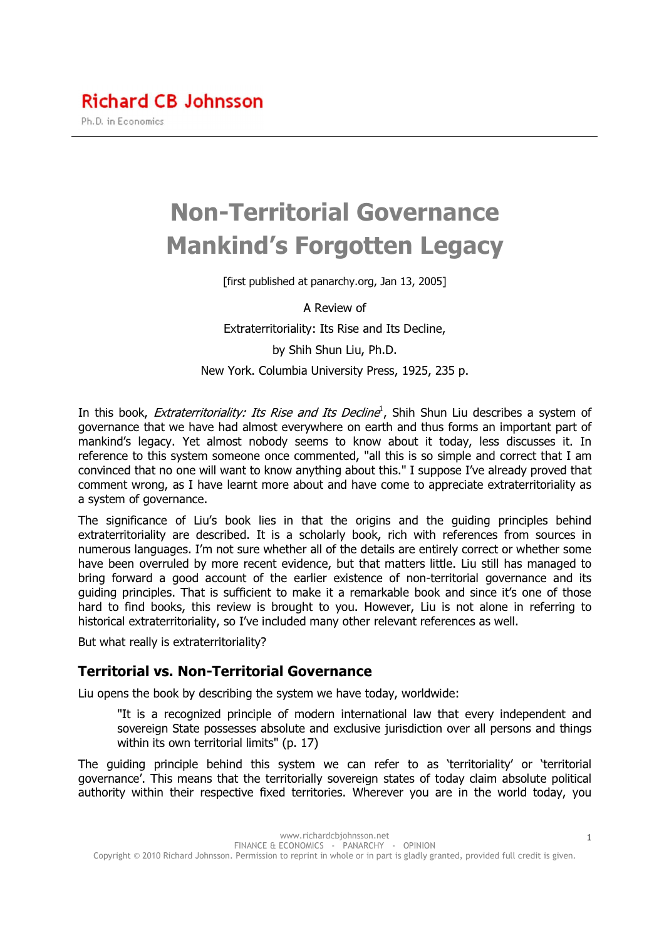# Non-Territorial Governance Mankind's Forgotten Legacy

[first published at panarchy.org, Jan 13, 2005]

A Review of Extraterritoriality: Its Rise and Its Decline,

by Shih Shun Liu, Ph.D.

New York. Columbia University Press, 1925, 235 p.

In this book, Extraterritoriality: Its Rise and Its Decline<sup>1</sup>, Shih Shun Liu describes a system of governance that we have had almost everywhere on earth and thus forms an important part of mankind's legacy. Yet almost nobody seems to know about it today, less discusses it. In reference to this system someone once commented, "all this is so simple and correct that I am convinced that no one will want to know anything about this." I suppose I've already proved that comment wrong, as I have learnt more about and have come to appreciate extraterritoriality as a system of governance.

The significance of Liu's book lies in that the origins and the guiding principles behind extraterritoriality are described. It is a scholarly book, rich with references from sources in numerous languages. I'm not sure whether all of the details are entirely correct or whether some have been overruled by more recent evidence, but that matters little. Liu still has managed to bring forward a good account of the earlier existence of non-territorial governance and its guiding principles. That is sufficient to make it a remarkable book and since it's one of those hard to find books, this review is brought to you. However, Liu is not alone in referring to historical extraterritoriality, so I've included many other relevant references as well.

But what really is extraterritoriality?

#### Territorial vs. Non-Territorial Governance

Liu opens the book by describing the system we have today, worldwide:

"It is a recognized principle of modern international law that every independent and sovereign State possesses absolute and exclusive jurisdiction over all persons and things within its own territorial limits" (p. 17)

The guiding principle behind this system we can refer to as 'territoriality' or 'territorial governance'. This means that the territorially sovereign states of today claim absolute political authority within their respective fixed territories. Wherever you are in the world today, you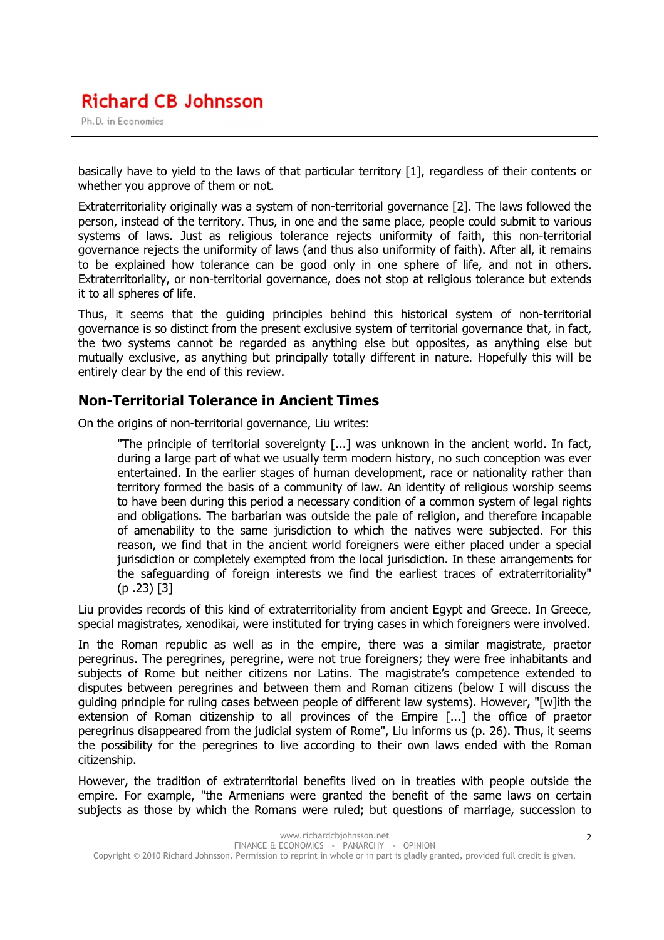Ph.D. in Economics

basically have to yield to the laws of that particular territory [1], regardless of their contents or whether you approve of them or not.

Extraterritoriality originally was a system of non-territorial governance [2]. The laws followed the person, instead of the territory. Thus, in one and the same place, people could submit to various systems of laws. Just as religious tolerance rejects uniformity of faith, this non-territorial governance rejects the uniformity of laws (and thus also uniformity of faith). After all, it remains to be explained how tolerance can be good only in one sphere of life, and not in others. Extraterritoriality, or non-territorial governance, does not stop at religious tolerance but extends it to all spheres of life.

Thus, it seems that the guiding principles behind this historical system of non-territorial governance is so distinct from the present exclusive system of territorial governance that, in fact, the two systems cannot be regarded as anything else but opposites, as anything else but mutually exclusive, as anything but principally totally different in nature. Hopefully this will be entirely clear by the end of this review.

#### Non-Territorial Tolerance in Ancient Times

On the origins of non-territorial governance, Liu writes:

"The principle of territorial sovereignty [...] was unknown in the ancient world. In fact, during a large part of what we usually term modern history, no such conception was ever entertained. In the earlier stages of human development, race or nationality rather than territory formed the basis of a community of law. An identity of religious worship seems to have been during this period a necessary condition of a common system of legal rights and obligations. The barbarian was outside the pale of religion, and therefore incapable of amenability to the same jurisdiction to which the natives were subjected. For this reason, we find that in the ancient world foreigners were either placed under a special jurisdiction or completely exempted from the local jurisdiction. In these arrangements for the safeguarding of foreign interests we find the earliest traces of extraterritoriality" (p .23) [3]

Liu provides records of this kind of extraterritoriality from ancient Egypt and Greece. In Greece, special magistrates, xenodikai, were instituted for trying cases in which foreigners were involved.

In the Roman republic as well as in the empire, there was a similar magistrate, praetor peregrinus. The peregrines, peregrine, were not true foreigners; they were free inhabitants and subjects of Rome but neither citizens nor Latins. The magistrate's competence extended to disputes between peregrines and between them and Roman citizens (below I will discuss the guiding principle for ruling cases between people of different law systems). However, "[w]ith the extension of Roman citizenship to all provinces of the Empire [...] the office of praetor peregrinus disappeared from the judicial system of Rome", Liu informs us (p. 26). Thus, it seems the possibility for the peregrines to live according to their own laws ended with the Roman citizenship.

However, the tradition of extraterritorial benefits lived on in treaties with people outside the empire. For example, "the Armenians were granted the benefit of the same laws on certain subjects as those by which the Romans were ruled; but questions of marriage, succession to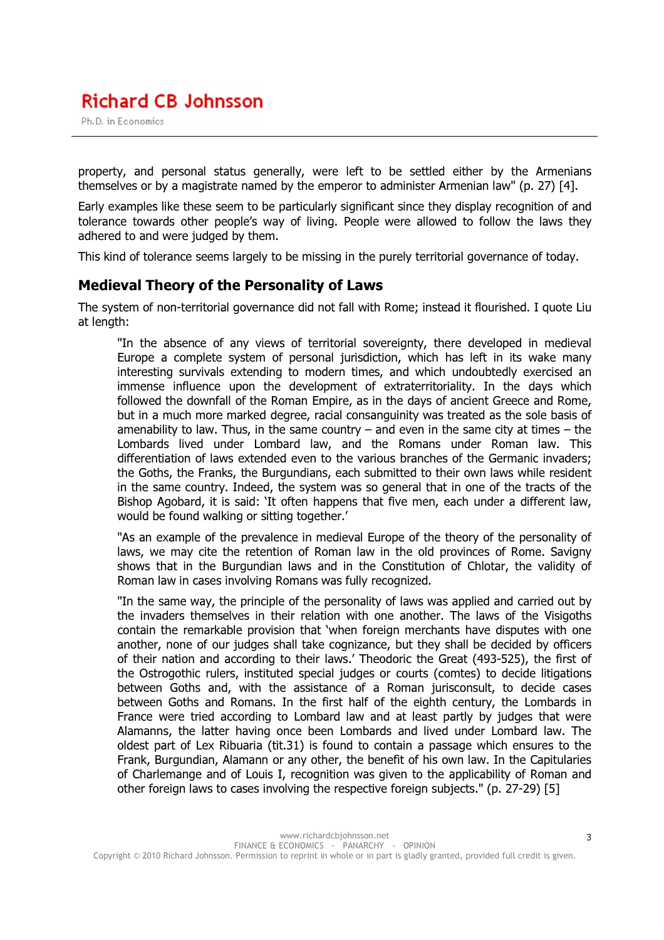Ph.D. in Economics

property, and personal status generally, were left to be settled either by the Armenians themselves or by a magistrate named by the emperor to administer Armenian law" (p. 27) [4].

Early examples like these seem to be particularly significant since they display recognition of and tolerance towards other people's way of living. People were allowed to follow the laws they adhered to and were judged by them.

This kind of tolerance seems largely to be missing in the purely territorial governance of today.

#### Medieval Theory of the Personality of Laws

The system of non-territorial governance did not fall with Rome; instead it flourished. I quote Liu at length:

"In the absence of any views of territorial sovereignty, there developed in medieval Europe a complete system of personal jurisdiction, which has left in its wake many interesting survivals extending to modern times, and which undoubtedly exercised an immense influence upon the development of extraterritoriality. In the days which followed the downfall of the Roman Empire, as in the days of ancient Greece and Rome, but in a much more marked degree, racial consanguinity was treated as the sole basis of amenability to law. Thus, in the same country  $-$  and even in the same city at times  $-$  the Lombards lived under Lombard law, and the Romans under Roman law. This differentiation of laws extended even to the various branches of the Germanic invaders; the Goths, the Franks, the Burgundians, each submitted to their own laws while resident in the same country. Indeed, the system was so general that in one of the tracts of the Bishop Agobard, it is said: 'It often happens that five men, each under a different law, would be found walking or sitting together.'

"As an example of the prevalence in medieval Europe of the theory of the personality of laws, we may cite the retention of Roman law in the old provinces of Rome. Savigny shows that in the Burgundian laws and in the Constitution of Chlotar, the validity of Roman law in cases involving Romans was fully recognized.

"In the same way, the principle of the personality of laws was applied and carried out by the invaders themselves in their relation with one another. The laws of the Visigoths contain the remarkable provision that 'when foreign merchants have disputes with one another, none of our judges shall take cognizance, but they shall be decided by officers of their nation and according to their laws.' Theodoric the Great (493-525), the first of the Ostrogothic rulers, instituted special judges or courts (comtes) to decide litigations between Goths and, with the assistance of a Roman jurisconsult, to decide cases between Goths and Romans. In the first half of the eighth century, the Lombards in France were tried according to Lombard law and at least partly by judges that were Alamanns, the latter having once been Lombards and lived under Lombard law. The oldest part of Lex Ribuaria (tit.31) is found to contain a passage which ensures to the Frank, Burgundian, Alamann or any other, the benefit of his own law. In the Capitularies of Charlemange and of Louis I, recognition was given to the applicability of Roman and other foreign laws to cases involving the respective foreign subjects." (p. 27-29) [5]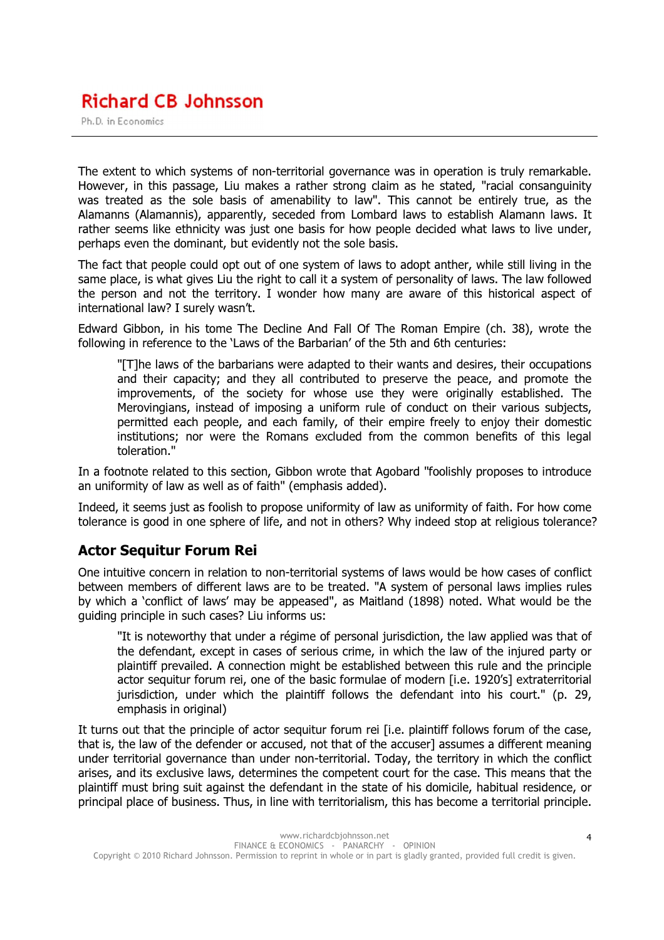Ph.D. in Economics

The extent to which systems of non-territorial governance was in operation is truly remarkable. However, in this passage, Liu makes a rather strong claim as he stated, "racial consanguinity was treated as the sole basis of amenability to law". This cannot be entirely true, as the Alamanns (Alamannis), apparently, seceded from Lombard laws to establish Alamann laws. It rather seems like ethnicity was just one basis for how people decided what laws to live under, perhaps even the dominant, but evidently not the sole basis.

The fact that people could opt out of one system of laws to adopt anther, while still living in the same place, is what gives Liu the right to call it a system of personality of laws. The law followed the person and not the territory. I wonder how many are aware of this historical aspect of international law? I surely wasn't.

Edward Gibbon, in his tome The Decline And Fall Of The Roman Empire (ch. 38), wrote the following in reference to the 'Laws of the Barbarian' of the 5th and 6th centuries:

"[T]he laws of the barbarians were adapted to their wants and desires, their occupations and their capacity; and they all contributed to preserve the peace, and promote the improvements, of the society for whose use they were originally established. The Merovingians, instead of imposing a uniform rule of conduct on their various subjects, permitted each people, and each family, of their empire freely to enjoy their domestic institutions; nor were the Romans excluded from the common benefits of this legal toleration."

In a footnote related to this section, Gibbon wrote that Agobard "foolishly proposes to introduce an uniformity of law as well as of faith" (emphasis added).

Indeed, it seems just as foolish to propose uniformity of law as uniformity of faith. For how come tolerance is good in one sphere of life, and not in others? Why indeed stop at religious tolerance?

#### Actor Sequitur Forum Rei

One intuitive concern in relation to non-territorial systems of laws would be how cases of conflict between members of different laws are to be treated. "A system of personal laws implies rules by which a 'conflict of laws' may be appeased", as Maitland (1898) noted. What would be the guiding principle in such cases? Liu informs us:

"It is noteworthy that under a régime of personal jurisdiction, the law applied was that of the defendant, except in cases of serious crime, in which the law of the injured party or plaintiff prevailed. A connection might be established between this rule and the principle actor sequitur forum rei, one of the basic formulae of modern [i.e. 1920's] extraterritorial jurisdiction, under which the plaintiff follows the defendant into his court." (p. 29, emphasis in original)

It turns out that the principle of actor sequitur forum rei [i.e. plaintiff follows forum of the case, that is, the law of the defender or accused, not that of the accuser] assumes a different meaning under territorial governance than under non-territorial. Today, the territory in which the conflict arises, and its exclusive laws, determines the competent court for the case. This means that the plaintiff must bring suit against the defendant in the state of his domicile, habitual residence, or principal place of business. Thus, in line with territorialism, this has become a territorial principle.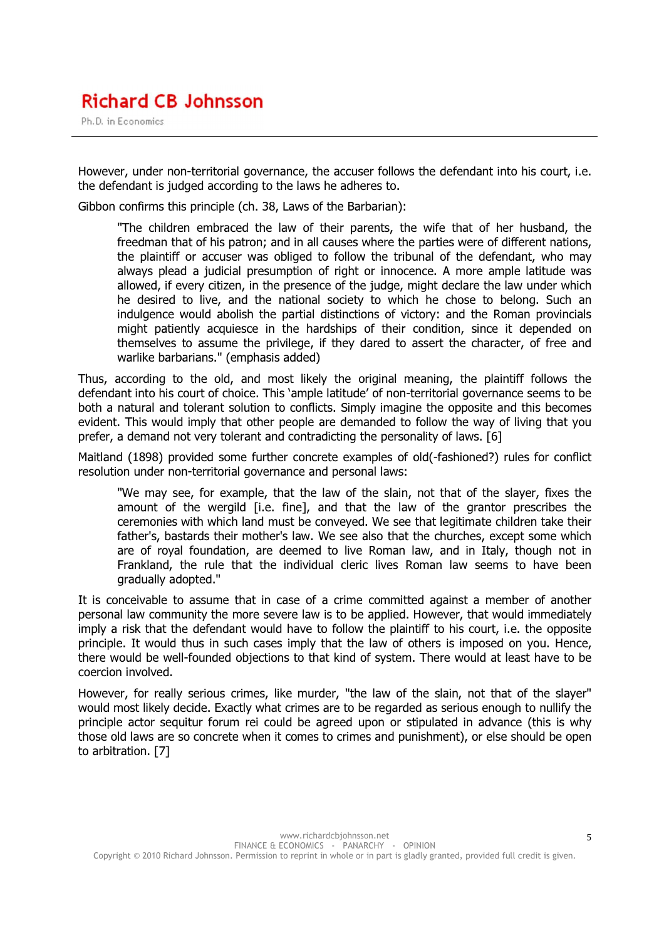Ph.D. in Economics

However, under non-territorial governance, the accuser follows the defendant into his court, i.e. the defendant is judged according to the laws he adheres to.

Gibbon confirms this principle (ch. 38, Laws of the Barbarian):

"The children embraced the law of their parents, the wife that of her husband, the freedman that of his patron; and in all causes where the parties were of different nations, the plaintiff or accuser was obliged to follow the tribunal of the defendant, who may always plead a judicial presumption of right or innocence. A more ample latitude was allowed, if every citizen, in the presence of the judge, might declare the law under which he desired to live, and the national society to which he chose to belong. Such an indulgence would abolish the partial distinctions of victory: and the Roman provincials might patiently acquiesce in the hardships of their condition, since it depended on themselves to assume the privilege, if they dared to assert the character, of free and warlike barbarians." (emphasis added)

Thus, according to the old, and most likely the original meaning, the plaintiff follows the defendant into his court of choice. This 'ample latitude' of non-territorial governance seems to be both a natural and tolerant solution to conflicts. Simply imagine the opposite and this becomes evident. This would imply that other people are demanded to follow the way of living that you prefer, a demand not very tolerant and contradicting the personality of laws. [6]

Maitland (1898) provided some further concrete examples of old(-fashioned?) rules for conflict resolution under non-territorial governance and personal laws:

"We may see, for example, that the law of the slain, not that of the slayer, fixes the amount of the wergild [i.e. fine], and that the law of the grantor prescribes the ceremonies with which land must be conveyed. We see that legitimate children take their father's, bastards their mother's law. We see also that the churches, except some which are of royal foundation, are deemed to live Roman law, and in Italy, though not in Frankland, the rule that the individual cleric lives Roman law seems to have been gradually adopted."

It is conceivable to assume that in case of a crime committed against a member of another personal law community the more severe law is to be applied. However, that would immediately imply a risk that the defendant would have to follow the plaintiff to his court, i.e. the opposite principle. It would thus in such cases imply that the law of others is imposed on you. Hence, there would be well-founded objections to that kind of system. There would at least have to be coercion involved.

However, for really serious crimes, like murder, "the law of the slain, not that of the slayer" would most likely decide. Exactly what crimes are to be regarded as serious enough to nullify the principle actor sequitur forum rei could be agreed upon or stipulated in advance (this is why those old laws are so concrete when it comes to crimes and punishment), or else should be open to arbitration. [7]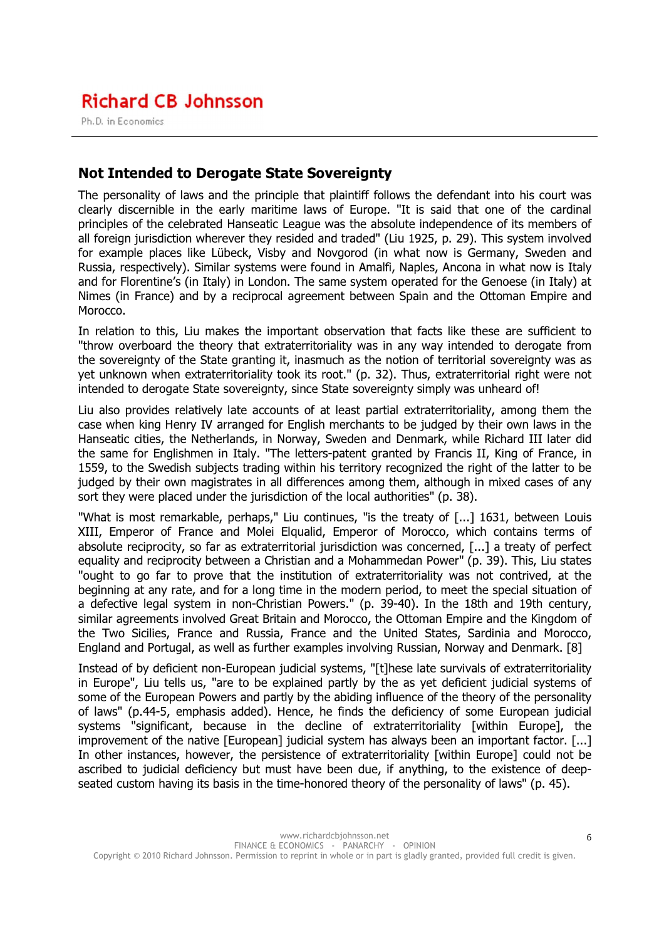Ph.D. in Economics

#### Not Intended to Derogate State Sovereignty

The personality of laws and the principle that plaintiff follows the defendant into his court was clearly discernible in the early maritime laws of Europe. "It is said that one of the cardinal principles of the celebrated Hanseatic League was the absolute independence of its members of all foreign jurisdiction wherever they resided and traded" (Liu 1925, p. 29). This system involved for example places like Lübeck, Visby and Novgorod (in what now is Germany, Sweden and Russia, respectively). Similar systems were found in Amalfi, Naples, Ancona in what now is Italy and for Florentine's (in Italy) in London. The same system operated for the Genoese (in Italy) at Nimes (in France) and by a reciprocal agreement between Spain and the Ottoman Empire and Morocco.

In relation to this, Liu makes the important observation that facts like these are sufficient to "throw overboard the theory that extraterritoriality was in any way intended to derogate from the sovereignty of the State granting it, inasmuch as the notion of territorial sovereignty was as yet unknown when extraterritoriality took its root." (p. 32). Thus, extraterritorial right were not intended to derogate State sovereignty, since State sovereignty simply was unheard of!

Liu also provides relatively late accounts of at least partial extraterritoriality, among them the case when king Henry IV arranged for English merchants to be judged by their own laws in the Hanseatic cities, the Netherlands, in Norway, Sweden and Denmark, while Richard III later did the same for Englishmen in Italy. "The letters-patent granted by Francis II, King of France, in 1559, to the Swedish subjects trading within his territory recognized the right of the latter to be judged by their own magistrates in all differences among them, although in mixed cases of any sort they were placed under the jurisdiction of the local authorities" (p. 38).

"What is most remarkable, perhaps," Liu continues, "is the treaty of [...] 1631, between Louis XIII, Emperor of France and Molei Elqualid, Emperor of Morocco, which contains terms of absolute reciprocity, so far as extraterritorial jurisdiction was concerned, [...] a treaty of perfect equality and reciprocity between a Christian and a Mohammedan Power" (p. 39). This, Liu states "ought to go far to prove that the institution of extraterritoriality was not contrived, at the beginning at any rate, and for a long time in the modern period, to meet the special situation of a defective legal system in non-Christian Powers." (p. 39-40). In the 18th and 19th century, similar agreements involved Great Britain and Morocco, the Ottoman Empire and the Kingdom of the Two Sicilies, France and Russia, France and the United States, Sardinia and Morocco, England and Portugal, as well as further examples involving Russian, Norway and Denmark. [8]

Instead of by deficient non-European judicial systems, "[t]hese late survivals of extraterritoriality in Europe", Liu tells us, "are to be explained partly by the as yet deficient judicial systems of some of the European Powers and partly by the abiding influence of the theory of the personality of laws" (p.44-5, emphasis added). Hence, he finds the deficiency of some European judicial systems "significant, because in the decline of extraterritoriality [within Europe], the improvement of the native [European] judicial system has always been an important factor. [...] In other instances, however, the persistence of extraterritoriality [within Europe] could not be ascribed to judicial deficiency but must have been due, if anything, to the existence of deepseated custom having its basis in the time-honored theory of the personality of laws" (p. 45).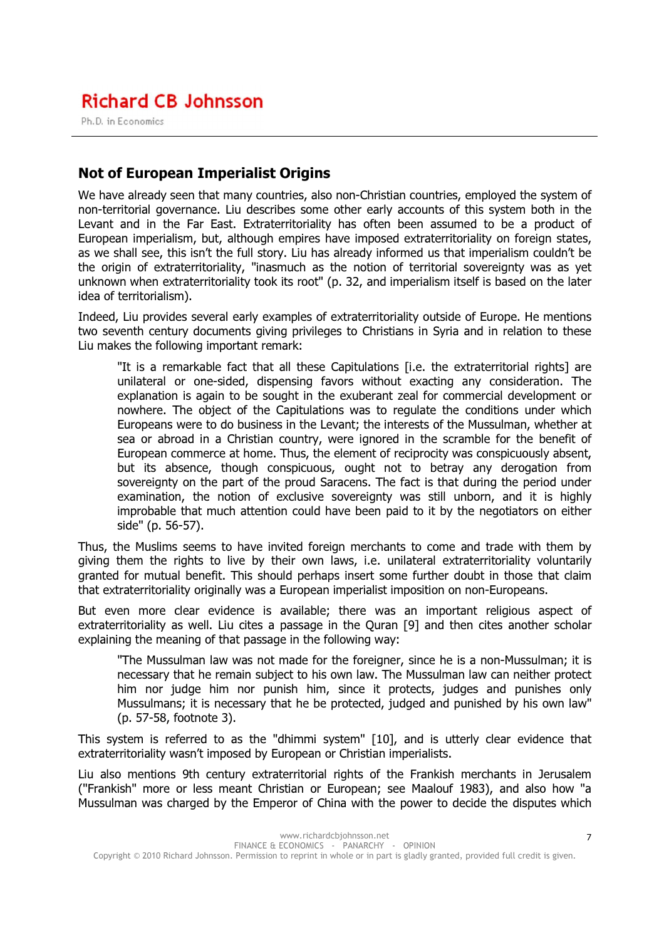Ph.D. in Economics

#### Not of European Imperialist Origins

We have already seen that many countries, also non-Christian countries, employed the system of non-territorial governance. Liu describes some other early accounts of this system both in the Levant and in the Far East. Extraterritoriality has often been assumed to be a product of European imperialism, but, although empires have imposed extraterritoriality on foreign states, as we shall see, this isn't the full story. Liu has already informed us that imperialism couldn't be the origin of extraterritoriality, "inasmuch as the notion of territorial sovereignty was as yet unknown when extraterritoriality took its root" (p. 32, and imperialism itself is based on the later idea of territorialism).

Indeed, Liu provides several early examples of extraterritoriality outside of Europe. He mentions two seventh century documents giving privileges to Christians in Syria and in relation to these Liu makes the following important remark:

"It is a remarkable fact that all these Capitulations [i.e. the extraterritorial rights] are unilateral or one-sided, dispensing favors without exacting any consideration. The explanation is again to be sought in the exuberant zeal for commercial development or nowhere. The object of the Capitulations was to regulate the conditions under which Europeans were to do business in the Levant; the interests of the Mussulman, whether at sea or abroad in a Christian country, were ignored in the scramble for the benefit of European commerce at home. Thus, the element of reciprocity was conspicuously absent, but its absence, though conspicuous, ought not to betray any derogation from sovereignty on the part of the proud Saracens. The fact is that during the period under examination, the notion of exclusive sovereignty was still unborn, and it is highly improbable that much attention could have been paid to it by the negotiators on either side" (p. 56-57).

Thus, the Muslims seems to have invited foreign merchants to come and trade with them by giving them the rights to live by their own laws, i.e. unilateral extraterritoriality voluntarily granted for mutual benefit. This should perhaps insert some further doubt in those that claim that extraterritoriality originally was a European imperialist imposition on non-Europeans.

But even more clear evidence is available; there was an important religious aspect of extraterritoriality as well. Liu cites a passage in the Quran [9] and then cites another scholar explaining the meaning of that passage in the following way:

"The Mussulman law was not made for the foreigner, since he is a non-Mussulman; it is necessary that he remain subject to his own law. The Mussulman law can neither protect him nor judge him nor punish him, since it protects, judges and punishes only Mussulmans; it is necessary that he be protected, judged and punished by his own law" (p. 57-58, footnote 3).

This system is referred to as the "dhimmi system" [10], and is utterly clear evidence that extraterritoriality wasn't imposed by European or Christian imperialists.

Liu also mentions 9th century extraterritorial rights of the Frankish merchants in Jerusalem ("Frankish" more or less meant Christian or European; see Maalouf 1983), and also how "a Mussulman was charged by the Emperor of China with the power to decide the disputes which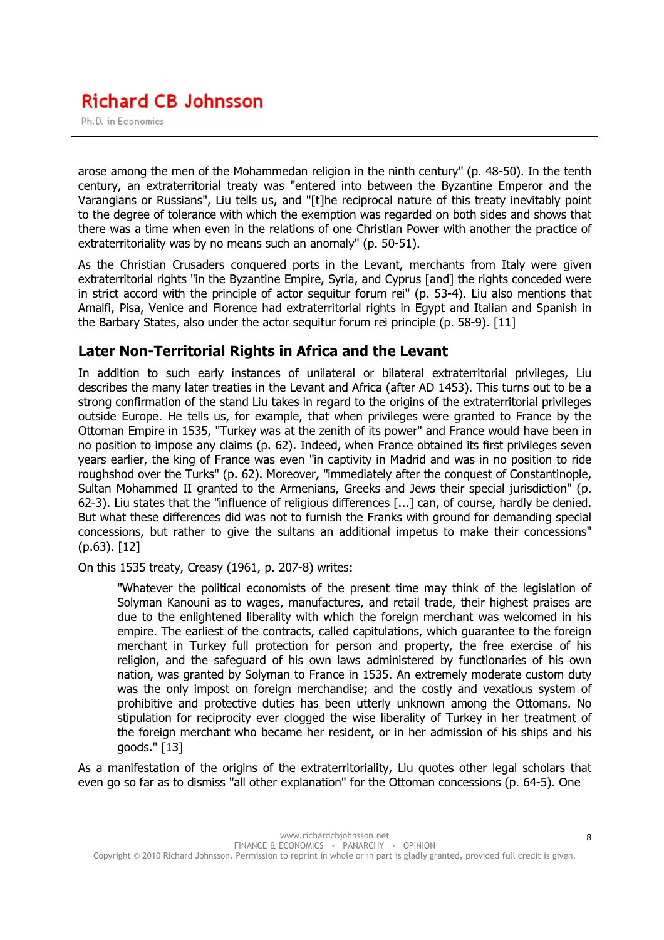Ph.D. in Economics

arose among the men of the Mohammedan religion in the ninth century" (p. 48-50). In the tenth century, an extraterritorial treaty was "entered into between the Byzantine Emperor and the Varangians or Russians", Liu tells us, and "[t]he reciprocal nature of this treaty inevitably point to the degree of tolerance with which the exemption was regarded on both sides and shows that there was a time when even in the relations of one Christian Power with another the practice of extraterritoriality was by no means such an anomaly" (p. 50-51).

As the Christian Crusaders conquered ports in the Levant, merchants from Italy were given extraterritorial rights "in the Byzantine Empire, Syria, and Cyprus [and] the rights conceded were in strict accord with the principle of actor sequitur forum rei" (p. 53-4). Liu also mentions that Amalfi, Pisa, Venice and Florence had extraterritorial rights in Egypt and Italian and Spanish in the Barbary States, also under the actor sequitur forum rei principle (p. 58-9). [11]

#### Later Non-Territorial Rights in Africa and the Levant

In addition to such early instances of unilateral or bilateral extraterritorial privileges, Liu describes the many later treaties in the Levant and Africa (after AD 1453). This turns out to be a strong confirmation of the stand Liu takes in regard to the origins of the extraterritorial privileges outside Europe. He tells us, for example, that when privileges were granted to France by the Ottoman Empire in 1535, "Turkey was at the zenith of its power" and France would have been in no position to impose any claims (p. 62). Indeed, when France obtained its first privileges seven years earlier, the king of France was even "in captivity in Madrid and was in no position to ride roughshod over the Turks" (p. 62). Moreover, "immediately after the conquest of Constantinople, Sultan Mohammed II granted to the Armenians, Greeks and Jews their special jurisdiction" (p. 62-3). Liu states that the "influence of religious differences [...] can, of course, hardly be denied. But what these differences did was not to furnish the Franks with ground for demanding special concessions, but rather to give the sultans an additional impetus to make their concessions" (p.63). [12]

On this 1535 treaty, Creasy (1961, p. 207-8) writes:

"Whatever the political economists of the present time may think of the legislation of Solyman Kanouni as to wages, manufactures, and retail trade, their highest praises are due to the enlightened liberality with which the foreign merchant was welcomed in his empire. The earliest of the contracts, called capitulations, which guarantee to the foreign merchant in Turkey full protection for person and property, the free exercise of his religion, and the safeguard of his own laws administered by functionaries of his own nation, was granted by Solyman to France in 1535. An extremely moderate custom duty was the only impost on foreign merchandise; and the costly and vexatious system of prohibitive and protective duties has been utterly unknown among the Ottomans. No stipulation for reciprocity ever clogged the wise liberality of Turkey in her treatment of the foreign merchant who became her resident, or in her admission of his ships and his goods." [13]

As a manifestation of the origins of the extraterritoriality, Liu quotes other legal scholars that even go so far as to dismiss "all other explanation" for the Ottoman concessions (p. 64-5). One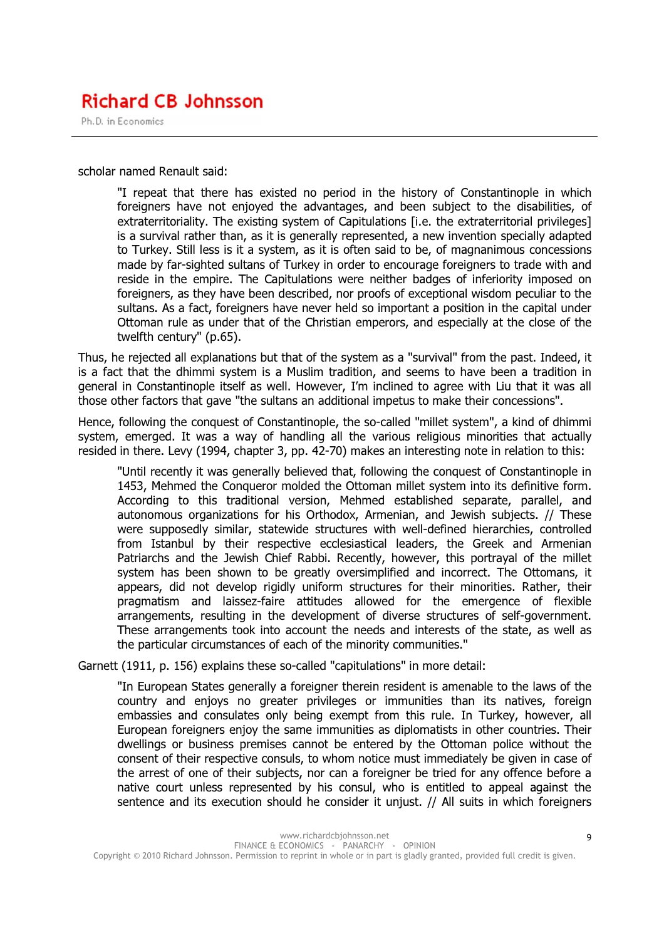Ph.D. in Economics

#### scholar named Renault said:

"I repeat that there has existed no period in the history of Constantinople in which foreigners have not enjoyed the advantages, and been subject to the disabilities, of extraterritoriality. The existing system of Capitulations [i.e. the extraterritorial privileges] is a survival rather than, as it is generally represented, a new invention specially adapted to Turkey. Still less is it a system, as it is often said to be, of magnanimous concessions made by far-sighted sultans of Turkey in order to encourage foreigners to trade with and reside in the empire. The Capitulations were neither badges of inferiority imposed on foreigners, as they have been described, nor proofs of exceptional wisdom peculiar to the sultans. As a fact, foreigners have never held so important a position in the capital under Ottoman rule as under that of the Christian emperors, and especially at the close of the twelfth century" (p.65).

Thus, he rejected all explanations but that of the system as a "survival" from the past. Indeed, it is a fact that the dhimmi system is a Muslim tradition, and seems to have been a tradition in general in Constantinople itself as well. However, I'm inclined to agree with Liu that it was all those other factors that gave "the sultans an additional impetus to make their concessions".

Hence, following the conquest of Constantinople, the so-called "millet system", a kind of dhimmi system, emerged. It was a way of handling all the various religious minorities that actually resided in there. Levy (1994, chapter 3, pp. 42-70) makes an interesting note in relation to this:

"Until recently it was generally believed that, following the conquest of Constantinople in 1453, Mehmed the Conqueror molded the Ottoman millet system into its definitive form. According to this traditional version, Mehmed established separate, parallel, and autonomous organizations for his Orthodox, Armenian, and Jewish subjects. // These were supposedly similar, statewide structures with well-defined hierarchies, controlled from Istanbul by their respective ecclesiastical leaders, the Greek and Armenian Patriarchs and the Jewish Chief Rabbi. Recently, however, this portrayal of the millet system has been shown to be greatly oversimplified and incorrect. The Ottomans, it appears, did not develop rigidly uniform structures for their minorities. Rather, their pragmatism and laissez-faire attitudes allowed for the emergence of flexible arrangements, resulting in the development of diverse structures of self-government. These arrangements took into account the needs and interests of the state, as well as the particular circumstances of each of the minority communities."

Garnett (1911, p. 156) explains these so-called "capitulations" in more detail:

"In European States generally a foreigner therein resident is amenable to the laws of the country and enjoys no greater privileges or immunities than its natives, foreign embassies and consulates only being exempt from this rule. In Turkey, however, all European foreigners enjoy the same immunities as diplomatists in other countries. Their dwellings or business premises cannot be entered by the Ottoman police without the consent of their respective consuls, to whom notice must immediately be given in case of the arrest of one of their subjects, nor can a foreigner be tried for any offence before a native court unless represented by his consul, who is entitled to appeal against the sentence and its execution should he consider it unjust. // All suits in which foreigners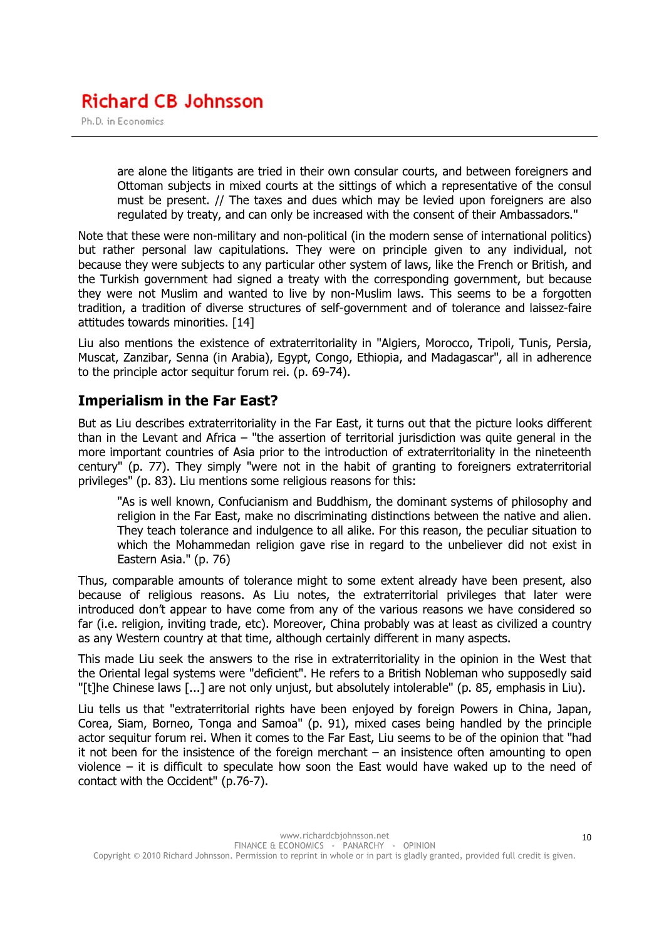Ph.D. in Economics

are alone the litigants are tried in their own consular courts, and between foreigners and Ottoman subjects in mixed courts at the sittings of which a representative of the consul must be present. // The taxes and dues which may be levied upon foreigners are also regulated by treaty, and can only be increased with the consent of their Ambassadors."

Note that these were non-military and non-political (in the modern sense of international politics) but rather personal law capitulations. They were on principle given to any individual, not because they were subjects to any particular other system of laws, like the French or British, and the Turkish government had signed a treaty with the corresponding government, but because they were not Muslim and wanted to live by non-Muslim laws. This seems to be a forgotten tradition, a tradition of diverse structures of self-government and of tolerance and laissez-faire attitudes towards minorities. [14]

Liu also mentions the existence of extraterritoriality in "Algiers, Morocco, Tripoli, Tunis, Persia, Muscat, Zanzibar, Senna (in Arabia), Egypt, Congo, Ethiopia, and Madagascar", all in adherence to the principle actor sequitur forum rei. (p. 69-74).

#### Imperialism in the Far East?

But as Liu describes extraterritoriality in the Far East, it turns out that the picture looks different than in the Levant and Africa  $-$  "the assertion of territorial jurisdiction was quite general in the more important countries of Asia prior to the introduction of extraterritoriality in the nineteenth century" (p. 77). They simply "were not in the habit of granting to foreigners extraterritorial privileges" (p. 83). Liu mentions some religious reasons for this:

"As is well known, Confucianism and Buddhism, the dominant systems of philosophy and religion in the Far East, make no discriminating distinctions between the native and alien. They teach tolerance and indulgence to all alike. For this reason, the peculiar situation to which the Mohammedan religion gave rise in regard to the unbeliever did not exist in Eastern Asia." (p. 76)

Thus, comparable amounts of tolerance might to some extent already have been present, also because of religious reasons. As Liu notes, the extraterritorial privileges that later were introduced don't appear to have come from any of the various reasons we have considered so far (i.e. religion, inviting trade, etc). Moreover, China probably was at least as civilized a country as any Western country at that time, although certainly different in many aspects.

This made Liu seek the answers to the rise in extraterritoriality in the opinion in the West that the Oriental legal systems were "deficient". He refers to a British Nobleman who supposedly said "[t]he Chinese laws [...] are not only unjust, but absolutely intolerable" (p. 85, emphasis in Liu).

Liu tells us that "extraterritorial rights have been enjoyed by foreign Powers in China, Japan, Corea, Siam, Borneo, Tonga and Samoa" (p. 91), mixed cases being handled by the principle actor sequitur forum rei. When it comes to the Far East, Liu seems to be of the opinion that "had it not been for the insistence of the foreign merchant  $-$  an insistence often amounting to open violence – it is difficult to speculate how soon the East would have waked up to the need of contact with the Occident" (p.76-7).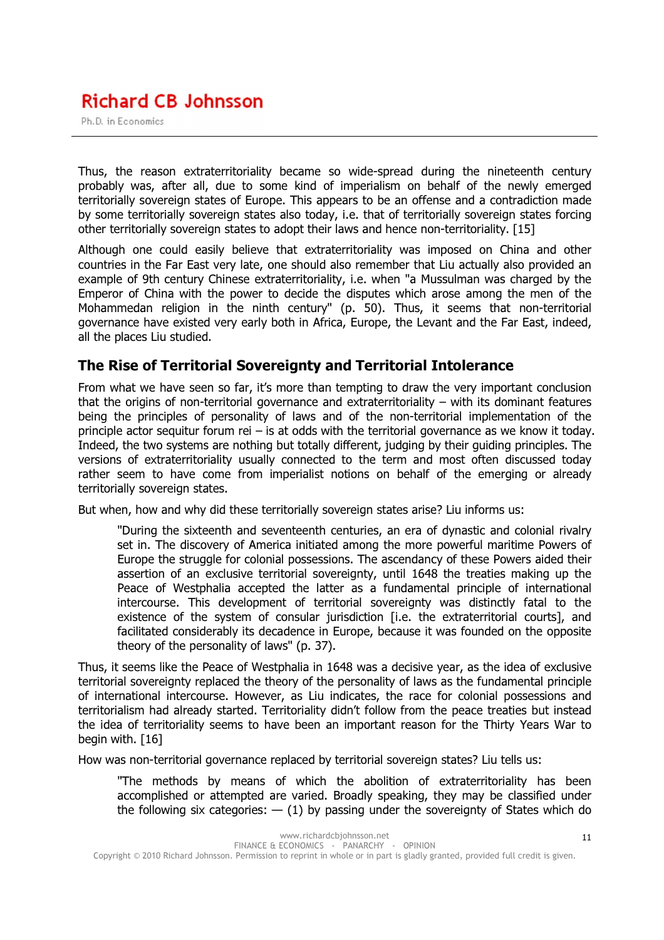Ph.D. in Economics

Thus, the reason extraterritoriality became so wide-spread during the nineteenth century probably was, after all, due to some kind of imperialism on behalf of the newly emerged territorially sovereign states of Europe. This appears to be an offense and a contradiction made by some territorially sovereign states also today, i.e. that of territorially sovereign states forcing other territorially sovereign states to adopt their laws and hence non-territoriality. [15]

Although one could easily believe that extraterritoriality was imposed on China and other countries in the Far East very late, one should also remember that Liu actually also provided an example of 9th century Chinese extraterritoriality, i.e. when "a Mussulman was charged by the Emperor of China with the power to decide the disputes which arose among the men of the Mohammedan religion in the ninth century" (p. 50). Thus, it seems that non-territorial governance have existed very early both in Africa, Europe, the Levant and the Far East, indeed, all the places Liu studied.

#### The Rise of Territorial Sovereignty and Territorial Intolerance

From what we have seen so far, it's more than tempting to draw the very important conclusion that the origins of non-territorial governance and extraterritoriality – with its dominant features being the principles of personality of laws and of the non-territorial implementation of the principle actor sequitur forum rei – is at odds with the territorial governance as we know it today. Indeed, the two systems are nothing but totally different, judging by their guiding principles. The versions of extraterritoriality usually connected to the term and most often discussed today rather seem to have come from imperialist notions on behalf of the emerging or already territorially sovereign states.

But when, how and why did these territorially sovereign states arise? Liu informs us:

"During the sixteenth and seventeenth centuries, an era of dynastic and colonial rivalry set in. The discovery of America initiated among the more powerful maritime Powers of Europe the struggle for colonial possessions. The ascendancy of these Powers aided their assertion of an exclusive territorial sovereignty, until 1648 the treaties making up the Peace of Westphalia accepted the latter as a fundamental principle of international intercourse. This development of territorial sovereignty was distinctly fatal to the existence of the system of consular jurisdiction [i.e. the extraterritorial courts], and facilitated considerably its decadence in Europe, because it was founded on the opposite theory of the personality of laws" (p. 37).

Thus, it seems like the Peace of Westphalia in 1648 was a decisive year, as the idea of exclusive territorial sovereignty replaced the theory of the personality of laws as the fundamental principle of international intercourse. However, as Liu indicates, the race for colonial possessions and territorialism had already started. Territoriality didn't follow from the peace treaties but instead the idea of territoriality seems to have been an important reason for the Thirty Years War to begin with. [16]

How was non-territorial governance replaced by territorial sovereign states? Liu tells us:

"The methods by means of which the abolition of extraterritoriality has been accomplished or attempted are varied. Broadly speaking, they may be classified under the following six categories:  $-$  (1) by passing under the sovereignty of States which do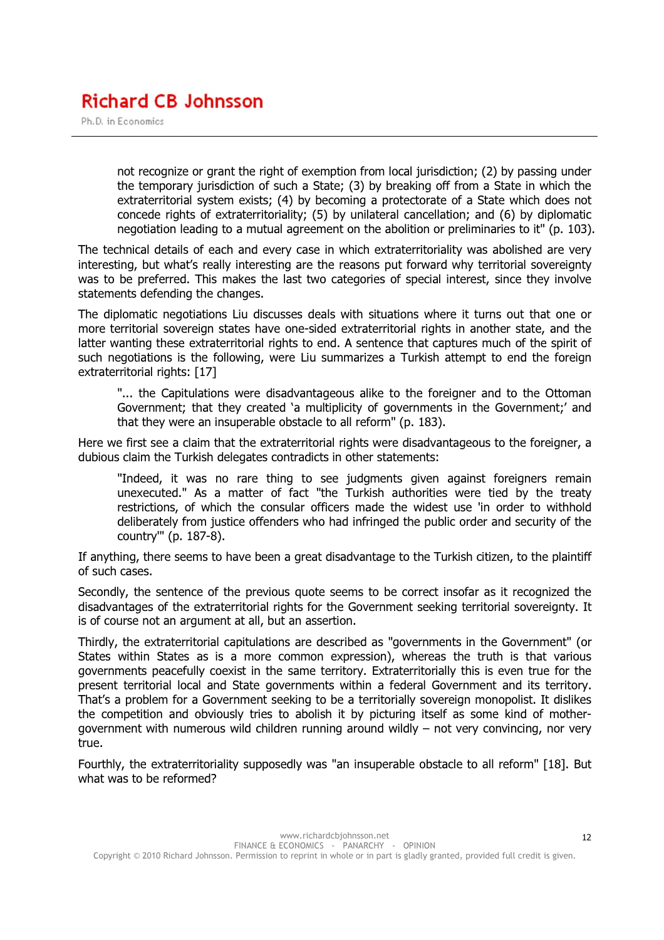Ph.D. in Economics

not recognize or grant the right of exemption from local jurisdiction; (2) by passing under the temporary jurisdiction of such a State; (3) by breaking off from a State in which the extraterritorial system exists; (4) by becoming a protectorate of a State which does not concede rights of extraterritoriality; (5) by unilateral cancellation; and (6) by diplomatic negotiation leading to a mutual agreement on the abolition or preliminaries to it" (p. 103).

The technical details of each and every case in which extraterritoriality was abolished are very interesting, but what's really interesting are the reasons put forward why territorial sovereignty was to be preferred. This makes the last two categories of special interest, since they involve statements defending the changes.

The diplomatic negotiations Liu discusses deals with situations where it turns out that one or more territorial sovereign states have one-sided extraterritorial rights in another state, and the latter wanting these extraterritorial rights to end. A sentence that captures much of the spirit of such negotiations is the following, were Liu summarizes a Turkish attempt to end the foreign extraterritorial rights: [17]

"... the Capitulations were disadvantageous alike to the foreigner and to the Ottoman Government; that they created 'a multiplicity of governments in the Government;' and that they were an insuperable obstacle to all reform" (p. 183).

Here we first see a claim that the extraterritorial rights were disadvantageous to the foreigner, a dubious claim the Turkish delegates contradicts in other statements:

"Indeed, it was no rare thing to see judgments given against foreigners remain unexecuted." As a matter of fact "the Turkish authorities were tied by the treaty restrictions, of which the consular officers made the widest use 'in order to withhold deliberately from justice offenders who had infringed the public order and security of the country'" (p. 187-8).

If anything, there seems to have been a great disadvantage to the Turkish citizen, to the plaintiff of such cases.

Secondly, the sentence of the previous quote seems to be correct insofar as it recognized the disadvantages of the extraterritorial rights for the Government seeking territorial sovereignty. It is of course not an argument at all, but an assertion.

Thirdly, the extraterritorial capitulations are described as "governments in the Government" (or States within States as is a more common expression), whereas the truth is that various governments peacefully coexist in the same territory. Extraterritorially this is even true for the present territorial local and State governments within a federal Government and its territory. That's a problem for a Government seeking to be a territorially sovereign monopolist. It dislikes the competition and obviously tries to abolish it by picturing itself as some kind of mothergovernment with numerous wild children running around wildly – not very convincing, nor very true.

Fourthly, the extraterritoriality supposedly was "an insuperable obstacle to all reform" [18]. But what was to be reformed?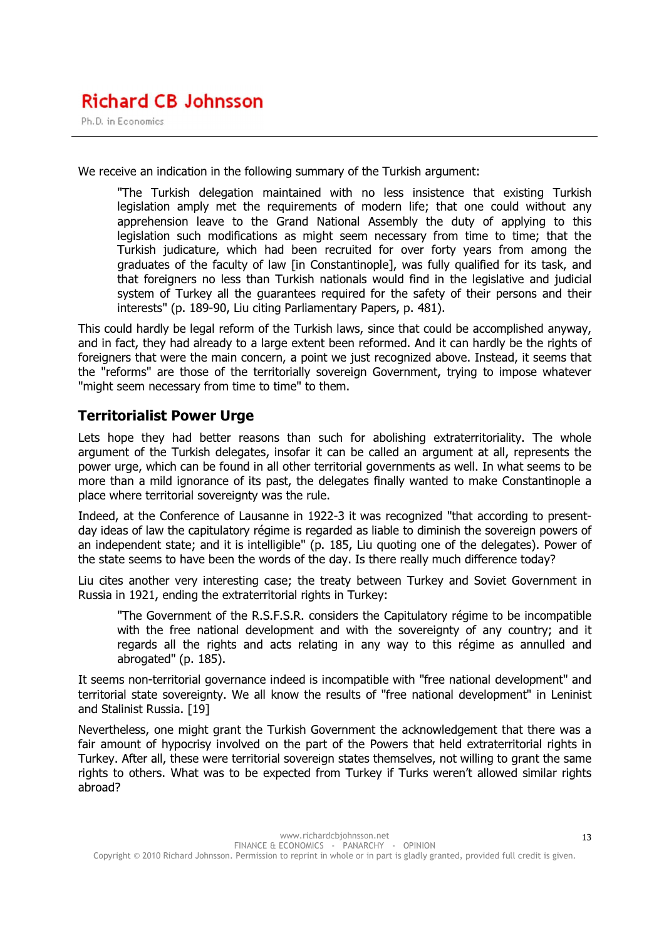Ph.D. in Economics

We receive an indication in the following summary of the Turkish argument:

"The Turkish delegation maintained with no less insistence that existing Turkish legislation amply met the requirements of modern life; that one could without any apprehension leave to the Grand National Assembly the duty of applying to this legislation such modifications as might seem necessary from time to time; that the Turkish judicature, which had been recruited for over forty years from among the graduates of the faculty of law [in Constantinople], was fully qualified for its task, and that foreigners no less than Turkish nationals would find in the legislative and judicial system of Turkey all the guarantees required for the safety of their persons and their interests" (p. 189-90, Liu citing Parliamentary Papers, p. 481).

This could hardly be legal reform of the Turkish laws, since that could be accomplished anyway, and in fact, they had already to a large extent been reformed. And it can hardly be the rights of foreigners that were the main concern, a point we just recognized above. Instead, it seems that the "reforms" are those of the territorially sovereign Government, trying to impose whatever "might seem necessary from time to time" to them.

#### Territorialist Power Urge

Lets hope they had better reasons than such for abolishing extraterritoriality. The whole argument of the Turkish delegates, insofar it can be called an argument at all, represents the power urge, which can be found in all other territorial governments as well. In what seems to be more than a mild ignorance of its past, the delegates finally wanted to make Constantinople a place where territorial sovereignty was the rule.

Indeed, at the Conference of Lausanne in 1922-3 it was recognized "that according to presentday ideas of law the capitulatory régime is regarded as liable to diminish the sovereign powers of an independent state; and it is intelligible" (p. 185, Liu quoting one of the delegates). Power of the state seems to have been the words of the day. Is there really much difference today?

Liu cites another very interesting case; the treaty between Turkey and Soviet Government in Russia in 1921, ending the extraterritorial rights in Turkey:

"The Government of the R.S.F.S.R. considers the Capitulatory régime to be incompatible with the free national development and with the sovereignty of any country; and it regards all the rights and acts relating in any way to this régime as annulled and abrogated" (p. 185).

It seems non-territorial governance indeed is incompatible with "free national development" and territorial state sovereignty. We all know the results of "free national development" in Leninist and Stalinist Russia. [19]

Nevertheless, one might grant the Turkish Government the acknowledgement that there was a fair amount of hypocrisy involved on the part of the Powers that held extraterritorial rights in Turkey. After all, these were territorial sovereign states themselves, not willing to grant the same rights to others. What was to be expected from Turkey if Turks weren't allowed similar rights abroad?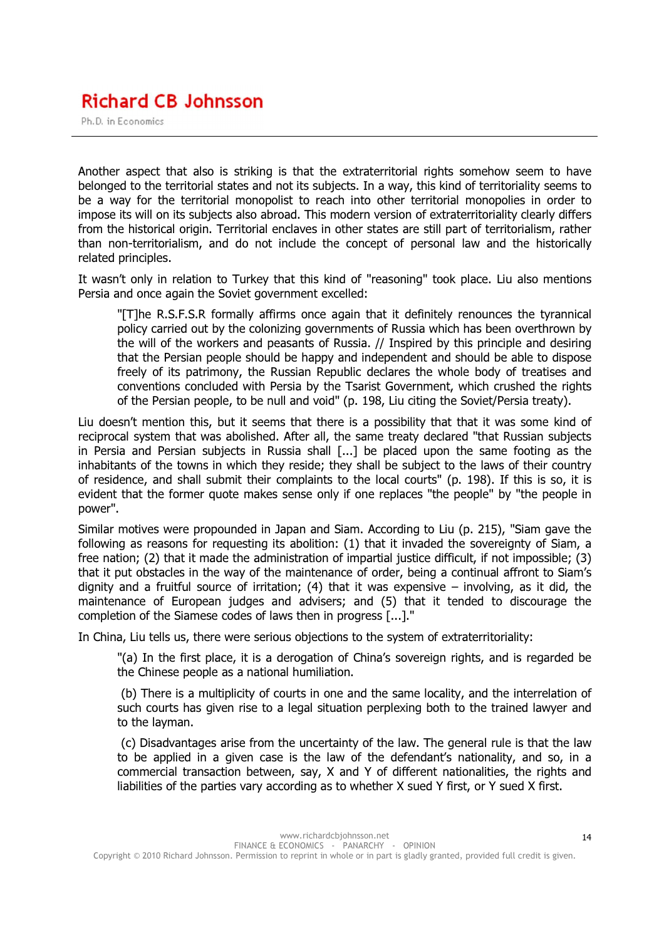Ph.D. in Economics

Another aspect that also is striking is that the extraterritorial rights somehow seem to have belonged to the territorial states and not its subjects. In a way, this kind of territoriality seems to be a way for the territorial monopolist to reach into other territorial monopolies in order to impose its will on its subjects also abroad. This modern version of extraterritoriality clearly differs from the historical origin. Territorial enclaves in other states are still part of territorialism, rather than non-territorialism, and do not include the concept of personal law and the historically related principles.

It wasn't only in relation to Turkey that this kind of "reasoning" took place. Liu also mentions Persia and once again the Soviet government excelled:

"[T]he R.S.F.S.R formally affirms once again that it definitely renounces the tyrannical policy carried out by the colonizing governments of Russia which has been overthrown by the will of the workers and peasants of Russia. // Inspired by this principle and desiring that the Persian people should be happy and independent and should be able to dispose freely of its patrimony, the Russian Republic declares the whole body of treatises and conventions concluded with Persia by the Tsarist Government, which crushed the rights of the Persian people, to be null and void" (p. 198, Liu citing the Soviet/Persia treaty).

Liu doesn't mention this, but it seems that there is a possibility that that it was some kind of reciprocal system that was abolished. After all, the same treaty declared "that Russian subjects in Persia and Persian subjects in Russia shall [...] be placed upon the same footing as the inhabitants of the towns in which they reside; they shall be subject to the laws of their country of residence, and shall submit their complaints to the local courts" (p. 198). If this is so, it is evident that the former quote makes sense only if one replaces "the people" by "the people in power".

Similar motives were propounded in Japan and Siam. According to Liu (p. 215), "Siam gave the following as reasons for requesting its abolition: (1) that it invaded the sovereignty of Siam, a free nation; (2) that it made the administration of impartial justice difficult, if not impossible; (3) that it put obstacles in the way of the maintenance of order, being a continual affront to Siam's dignity and a fruitful source of irritation; (4) that it was expensive  $-$  involving, as it did, the maintenance of European judges and advisers; and (5) that it tended to discourage the completion of the Siamese codes of laws then in progress [...]."

In China, Liu tells us, there were serious objections to the system of extraterritoriality:

"(a) In the first place, it is a derogation of China's sovereign rights, and is regarded be the Chinese people as a national humiliation.

 (b) There is a multiplicity of courts in one and the same locality, and the interrelation of such courts has given rise to a legal situation perplexing both to the trained lawyer and to the layman.

 (c) Disadvantages arise from the uncertainty of the law. The general rule is that the law to be applied in a given case is the law of the defendant's nationality, and so, in a commercial transaction between, say, X and Y of different nationalities, the rights and liabilities of the parties vary according as to whether X sued Y first, or Y sued X first.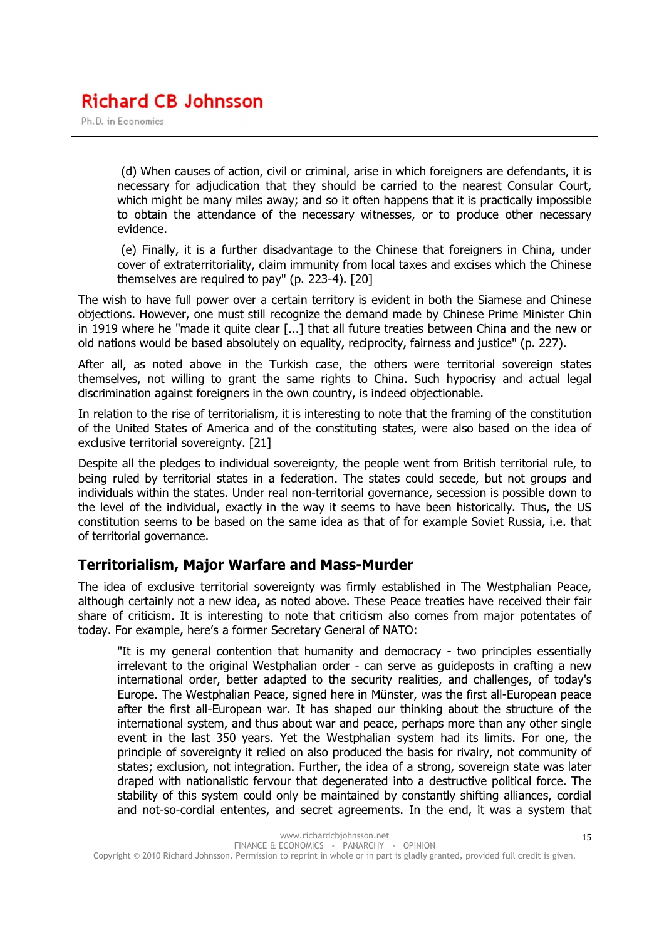Ph.D. in Economics

 (d) When causes of action, civil or criminal, arise in which foreigners are defendants, it is necessary for adjudication that they should be carried to the nearest Consular Court, which might be many miles away; and so it often happens that it is practically impossible to obtain the attendance of the necessary witnesses, or to produce other necessary evidence.

 (e) Finally, it is a further disadvantage to the Chinese that foreigners in China, under cover of extraterritoriality, claim immunity from local taxes and excises which the Chinese themselves are required to pay" (p. 223-4). [20]

The wish to have full power over a certain territory is evident in both the Siamese and Chinese objections. However, one must still recognize the demand made by Chinese Prime Minister Chin in 1919 where he "made it quite clear [...] that all future treaties between China and the new or old nations would be based absolutely on equality, reciprocity, fairness and justice" (p. 227).

After all, as noted above in the Turkish case, the others were territorial sovereign states themselves, not willing to grant the same rights to China. Such hypocrisy and actual legal discrimination against foreigners in the own country, is indeed objectionable.

In relation to the rise of territorialism, it is interesting to note that the framing of the constitution of the United States of America and of the constituting states, were also based on the idea of exclusive territorial sovereignty. [21]

Despite all the pledges to individual sovereignty, the people went from British territorial rule, to being ruled by territorial states in a federation. The states could secede, but not groups and individuals within the states. Under real non-territorial governance, secession is possible down to the level of the individual, exactly in the way it seems to have been historically. Thus, the US constitution seems to be based on the same idea as that of for example Soviet Russia, i.e. that of territorial governance.

#### Territorialism, Major Warfare and Mass-Murder

The idea of exclusive territorial sovereignty was firmly established in The Westphalian Peace, although certainly not a new idea, as noted above. These Peace treaties have received their fair share of criticism. It is interesting to note that criticism also comes from major potentates of today. For example, here's a former Secretary General of NATO:

"It is my general contention that humanity and democracy - two principles essentially irrelevant to the original Westphalian order - can serve as guideposts in crafting a new international order, better adapted to the security realities, and challenges, of today's Europe. The Westphalian Peace, signed here in Münster, was the first all-European peace after the first all-European war. It has shaped our thinking about the structure of the international system, and thus about war and peace, perhaps more than any other single event in the last 350 years. Yet the Westphalian system had its limits. For one, the principle of sovereignty it relied on also produced the basis for rivalry, not community of states; exclusion, not integration. Further, the idea of a strong, sovereign state was later draped with nationalistic fervour that degenerated into a destructive political force. The stability of this system could only be maintained by constantly shifting alliances, cordial and not-so-cordial ententes, and secret agreements. In the end, it was a system that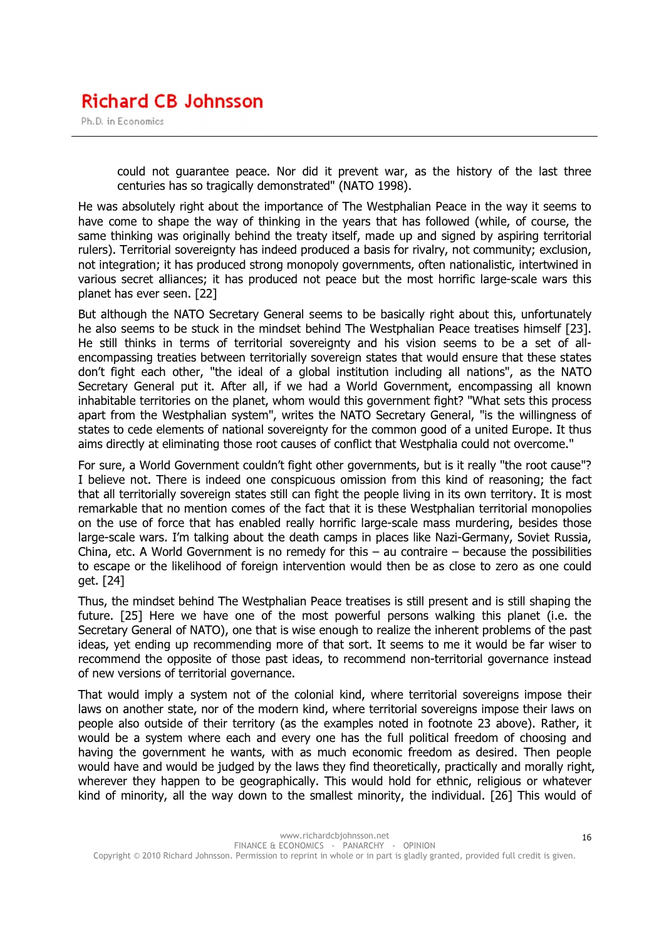Ph.D. in Economics

could not guarantee peace. Nor did it prevent war, as the history of the last three centuries has so tragically demonstrated" (NATO 1998).

He was absolutely right about the importance of The Westphalian Peace in the way it seems to have come to shape the way of thinking in the years that has followed (while, of course, the same thinking was originally behind the treaty itself, made up and signed by aspiring territorial rulers). Territorial sovereignty has indeed produced a basis for rivalry, not community; exclusion, not integration; it has produced strong monopoly governments, often nationalistic, intertwined in various secret alliances; it has produced not peace but the most horrific large-scale wars this planet has ever seen. [22]

But although the NATO Secretary General seems to be basically right about this, unfortunately he also seems to be stuck in the mindset behind The Westphalian Peace treatises himself [23]. He still thinks in terms of territorial sovereignty and his vision seems to be a set of allencompassing treaties between territorially sovereign states that would ensure that these states don't fight each other, "the ideal of a global institution including all nations", as the NATO Secretary General put it. After all, if we had a World Government, encompassing all known inhabitable territories on the planet, whom would this government fight? "What sets this process apart from the Westphalian system", writes the NATO Secretary General, "is the willingness of states to cede elements of national sovereignty for the common good of a united Europe. It thus aims directly at eliminating those root causes of conflict that Westphalia could not overcome."

For sure, a World Government couldn't fight other governments, but is it really "the root cause"? I believe not. There is indeed one conspicuous omission from this kind of reasoning; the fact that all territorially sovereign states still can fight the people living in its own territory. It is most remarkable that no mention comes of the fact that it is these Westphalian territorial monopolies on the use of force that has enabled really horrific large-scale mass murdering, besides those large-scale wars. I'm talking about the death camps in places like Nazi-Germany, Soviet Russia, China, etc. A World Government is no remedy for this  $-$  au contraire  $-$  because the possibilities to escape or the likelihood of foreign intervention would then be as close to zero as one could get. [24]

Thus, the mindset behind The Westphalian Peace treatises is still present and is still shaping the future. [25] Here we have one of the most powerful persons walking this planet (i.e. the Secretary General of NATO), one that is wise enough to realize the inherent problems of the past ideas, yet ending up recommending more of that sort. It seems to me it would be far wiser to recommend the opposite of those past ideas, to recommend non-territorial governance instead of new versions of territorial governance.

That would imply a system not of the colonial kind, where territorial sovereigns impose their laws on another state, nor of the modern kind, where territorial sovereigns impose their laws on people also outside of their territory (as the examples noted in footnote 23 above). Rather, it would be a system where each and every one has the full political freedom of choosing and having the government he wants, with as much economic freedom as desired. Then people would have and would be judged by the laws they find theoretically, practically and morally right, wherever they happen to be geographically. This would hold for ethnic, religious or whatever kind of minority, all the way down to the smallest minority, the individual. [26] This would of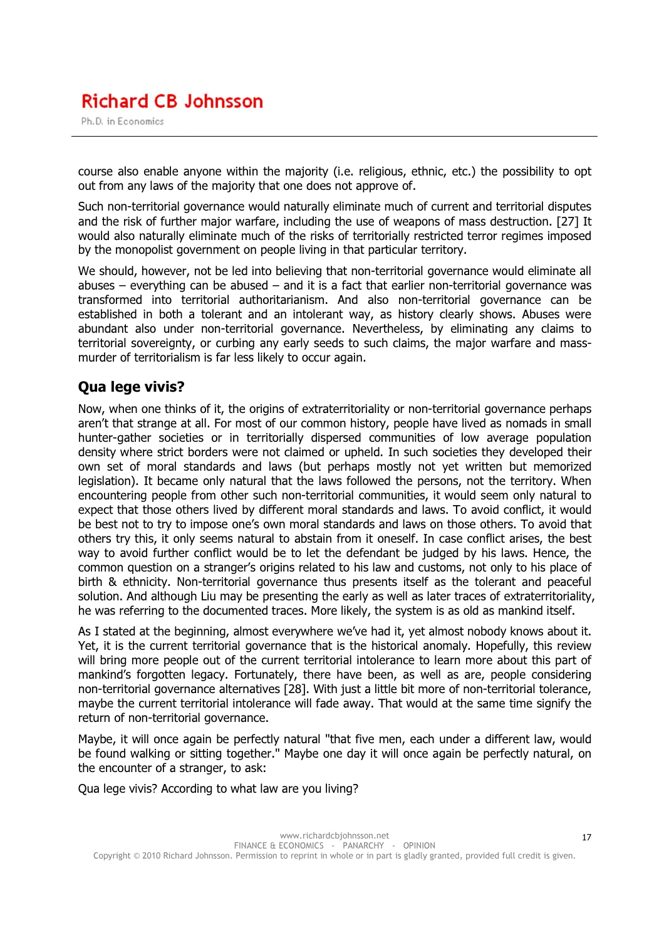Ph.D. in Economics

course also enable anyone within the majority (i.e. religious, ethnic, etc.) the possibility to opt out from any laws of the majority that one does not approve of.

Such non-territorial governance would naturally eliminate much of current and territorial disputes and the risk of further major warfare, including the use of weapons of mass destruction. [27] It would also naturally eliminate much of the risks of territorially restricted terror regimes imposed by the monopolist government on people living in that particular territory.

We should, however, not be led into believing that non-territorial governance would eliminate all abuses – everything can be abused – and it is a fact that earlier non-territorial governance was transformed into territorial authoritarianism. And also non-territorial governance can be established in both a tolerant and an intolerant way, as history clearly shows. Abuses were abundant also under non-territorial governance. Nevertheless, by eliminating any claims to territorial sovereignty, or curbing any early seeds to such claims, the major warfare and massmurder of territorialism is far less likely to occur again.

#### Qua lege vivis?

Now, when one thinks of it, the origins of extraterritoriality or non-territorial governance perhaps aren't that strange at all. For most of our common history, people have lived as nomads in small hunter-gather societies or in territorially dispersed communities of low average population density where strict borders were not claimed or upheld. In such societies they developed their own set of moral standards and laws (but perhaps mostly not yet written but memorized legislation). It became only natural that the laws followed the persons, not the territory. When encountering people from other such non-territorial communities, it would seem only natural to expect that those others lived by different moral standards and laws. To avoid conflict, it would be best not to try to impose one's own moral standards and laws on those others. To avoid that others try this, it only seems natural to abstain from it oneself. In case conflict arises, the best way to avoid further conflict would be to let the defendant be judged by his laws. Hence, the common question on a stranger's origins related to his law and customs, not only to his place of birth & ethnicity. Non-territorial governance thus presents itself as the tolerant and peaceful solution. And although Liu may be presenting the early as well as later traces of extraterritoriality, he was referring to the documented traces. More likely, the system is as old as mankind itself.

As I stated at the beginning, almost everywhere we've had it, yet almost nobody knows about it. Yet, it is the current territorial governance that is the historical anomaly. Hopefully, this review will bring more people out of the current territorial intolerance to learn more about this part of mankind's forgotten legacy. Fortunately, there have been, as well as are, people considering non-territorial governance alternatives [28]. With just a little bit more of non-territorial tolerance, maybe the current territorial intolerance will fade away. That would at the same time signify the return of non-territorial governance.

Maybe, it will once again be perfectly natural "that five men, each under a different law, would be found walking or sitting together." Maybe one day it will once again be perfectly natural, on the encounter of a stranger, to ask:

Qua lege vivis? According to what law are you living?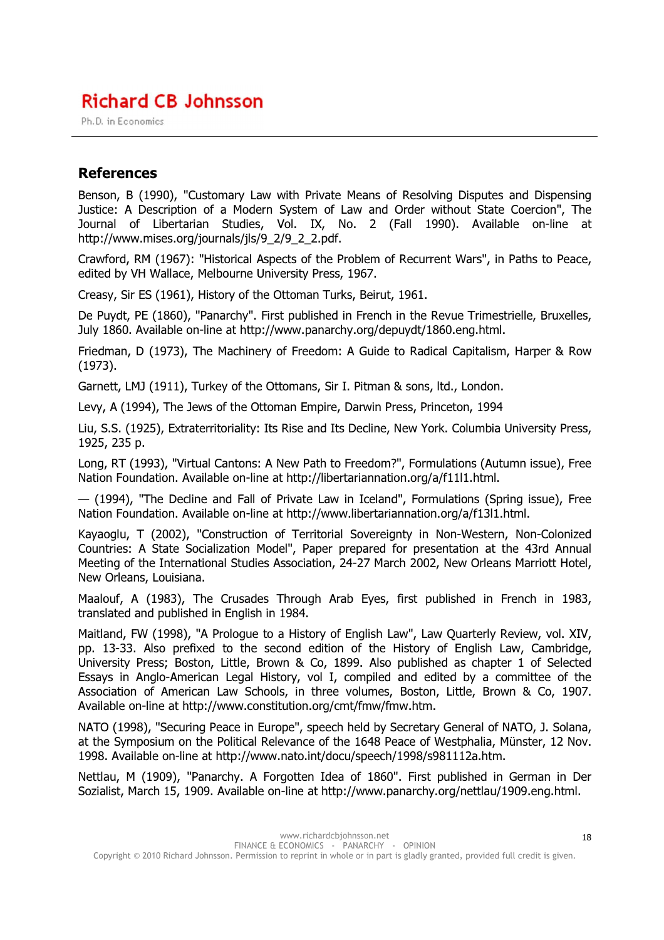Ph.D. in Economics

#### References

Benson, B (1990), "Customary Law with Private Means of Resolving Disputes and Dispensing Justice: A Description of a Modern System of Law and Order without State Coercion", The Journal of Libertarian Studies, Vol. IX, No. 2 (Fall 1990). Available on-line at http://www.mises.org/journals/jls/9\_2/9\_2\_2.pdf.

Crawford, RM (1967): "Historical Aspects of the Problem of Recurrent Wars", in Paths to Peace, edited by VH Wallace, Melbourne University Press, 1967.

Creasy, Sir ES (1961), History of the Ottoman Turks, Beirut, 1961.

De Puydt, PE (1860), "Panarchy". First published in French in the Revue Trimestrielle, Bruxelles, July 1860. Available on-line at http://www.panarchy.org/depuydt/1860.eng.html.

Friedman, D (1973), The Machinery of Freedom: A Guide to Radical Capitalism, Harper & Row (1973).

Garnett, LMJ (1911), Turkey of the Ottomans, Sir I. Pitman & sons, ltd., London.

Levy, A (1994), The Jews of the Ottoman Empire, Darwin Press, Princeton, 1994

Liu, S.S. (1925), Extraterritoriality: Its Rise and Its Decline, New York. Columbia University Press, 1925, 235 p.

Long, RT (1993), "Virtual Cantons: A New Path to Freedom?", Formulations (Autumn issue), Free Nation Foundation. Available on-line at http://libertariannation.org/a/f11l1.html.

— (1994), "The Decline and Fall of Private Law in Iceland", Formulations (Spring issue), Free Nation Foundation. Available on-line at http://www.libertariannation.org/a/f13l1.html.

Kayaoglu, T (2002), "Construction of Territorial Sovereignty in Non-Western, Non-Colonized Countries: A State Socialization Model", Paper prepared for presentation at the 43rd Annual Meeting of the International Studies Association, 24-27 March 2002, New Orleans Marriott Hotel, New Orleans, Louisiana.

Maalouf, A (1983), The Crusades Through Arab Eyes, first published in French in 1983, translated and published in English in 1984.

Maitland, FW (1998), "A Prologue to a History of English Law", Law Quarterly Review, vol. XIV, pp. 13-33. Also prefixed to the second edition of the History of English Law, Cambridge, University Press; Boston, Little, Brown & Co, 1899. Also published as chapter 1 of Selected Essays in Anglo-American Legal History, vol I, compiled and edited by a committee of the Association of American Law Schools, in three volumes, Boston, Little, Brown & Co, 1907. Available on-line at http://www.constitution.org/cmt/fmw/fmw.htm.

NATO (1998), "Securing Peace in Europe", speech held by Secretary General of NATO, J. Solana, at the Symposium on the Political Relevance of the 1648 Peace of Westphalia, Münster, 12 Nov. 1998. Available on-line at http://www.nato.int/docu/speech/1998/s981112a.htm.

Nettlau, M (1909), "Panarchy. A Forgotten Idea of 1860". First published in German in Der Sozialist, March 15, 1909. Available on-line at http://www.panarchy.org/nettlau/1909.eng.html.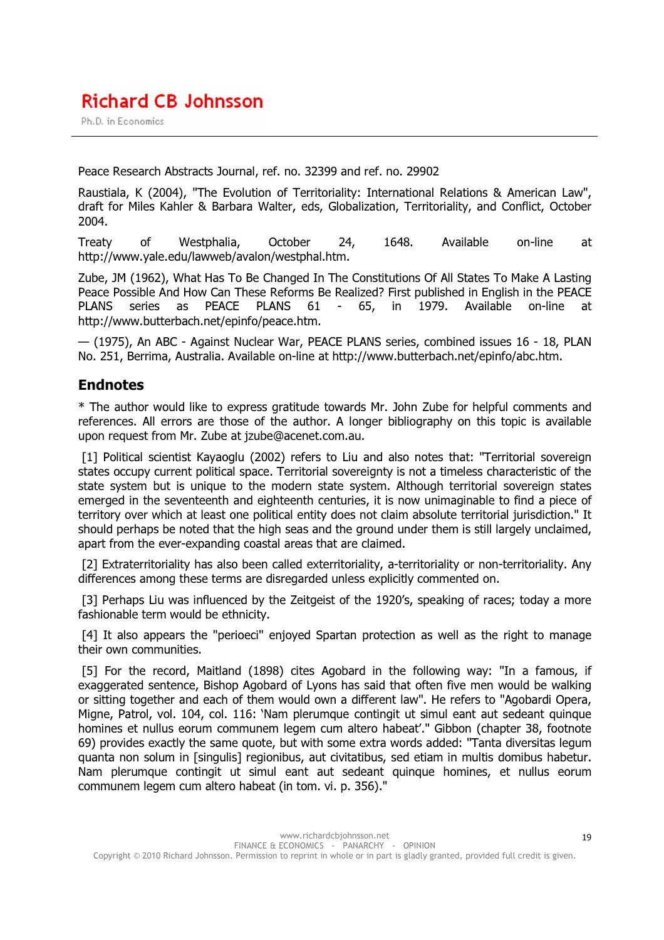Ph.D. in Economics

Peace Research Abstracts Journal, ref. no. 32399 and ref. no. 29902

Raustiala, K (2004), "The Evolution of Territoriality: International Relations & American Law", draft for Miles Kahler & Barbara Walter, eds, Globalization, Territoriality, and Conflict, October 2004.

Treaty of Westphalia, October 24, 1648. Available on-line at http://www.yale.edu/lawweb/avalon/westphal.htm.

Zube, JM (1962), What Has To Be Changed In The Constitutions Of All States To Make A Lasting Peace Possible And How Can These Reforms Be Realized? First published in English in the PEACE PLANS series as PEACE PLANS 61 - 65, in 1979. Available on-line at http://www.butterbach.net/epinfo/peace.htm.

— (1975), An ABC - Against Nuclear War, PEACE PLANS series, combined issues 16 - 18, PLAN No. 251, Berrima, Australia. Available on-line at http://www.butterbach.net/epinfo/abc.htm.

#### Endnotes

\* The author would like to express gratitude towards Mr. John Zube for helpful comments and references. All errors are those of the author. A longer bibliography on this topic is available upon request from Mr. Zube at jzube@acenet.com.au.

[1] Political scientist Kayaoglu (2002) refers to Liu and also notes that: "Territorial sovereign states occupy current political space. Territorial sovereignty is not a timeless characteristic of the state system but is unique to the modern state system. Although territorial sovereign states emerged in the seventeenth and eighteenth centuries, it is now unimaginable to find a piece of territory over which at least one political entity does not claim absolute territorial jurisdiction." It should perhaps be noted that the high seas and the ground under them is still largely unclaimed, apart from the ever-expanding coastal areas that are claimed.

[2] Extraterritoriality has also been called exterritoriality, a-territoriality or non-territoriality. Any differences among these terms are disregarded unless explicitly commented on.

[3] Perhaps Liu was influenced by the Zeitgeist of the 1920's, speaking of races; today a more fashionable term would be ethnicity.

 [4] It also appears the "perioeci" enjoyed Spartan protection as well as the right to manage their own communities.

 [5] For the record, Maitland (1898) cites Agobard in the following way: "In a famous, if exaggerated sentence, Bishop Agobard of Lyons has said that often five men would be walking or sitting together and each of them would own a different law". He refers to "Agobardi Opera, Migne, Patrol, vol. 104, col. 116: 'Nam plerumque contingit ut simul eant aut sedeant quinque homines et nullus eorum communem legem cum altero habeat'." Gibbon (chapter 38, footnote 69) provides exactly the same quote, but with some extra words added: "Tanta diversitas legum quanta non solum in [singulis] regionibus, aut civitatibus, sed etiam in multis domibus habetur. Nam plerumque contingit ut simul eant aut sedeant quinque homines, et nullus eorum communem legem cum altero habeat (in tom. vi. p. 356)."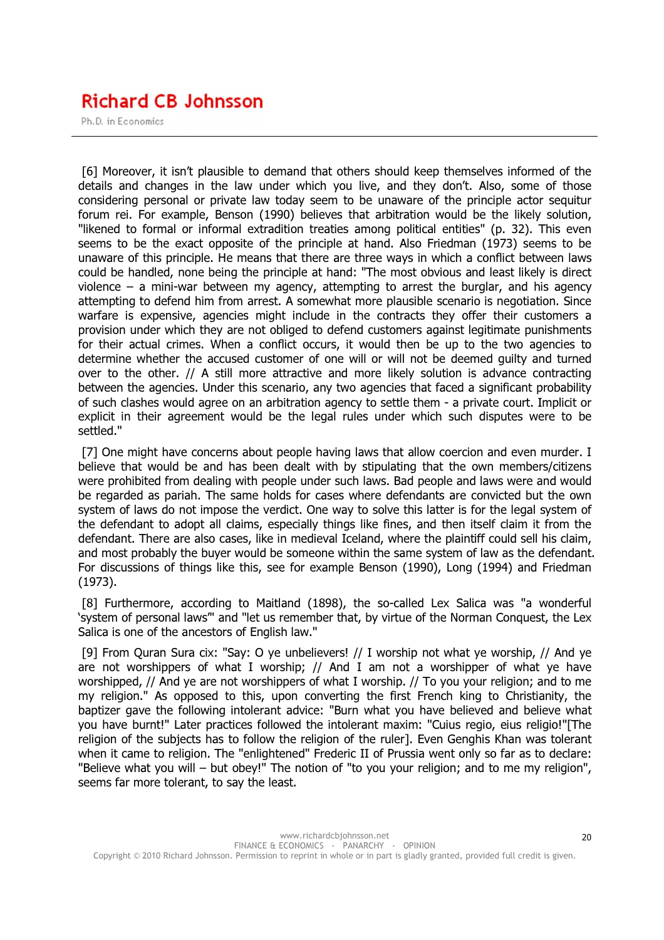Ph.D. in Economics

 [6] Moreover, it isn't plausible to demand that others should keep themselves informed of the details and changes in the law under which you live, and they don't. Also, some of those considering personal or private law today seem to be unaware of the principle actor sequitur forum rei. For example, Benson (1990) believes that arbitration would be the likely solution, "likened to formal or informal extradition treaties among political entities" (p. 32). This even seems to be the exact opposite of the principle at hand. Also Friedman (1973) seems to be unaware of this principle. He means that there are three ways in which a conflict between laws could be handled, none being the principle at hand: "The most obvious and least likely is direct violence – a mini-war between my agency, attempting to arrest the burglar, and his agency attempting to defend him from arrest. A somewhat more plausible scenario is negotiation. Since warfare is expensive, agencies might include in the contracts they offer their customers a provision under which they are not obliged to defend customers against legitimate punishments for their actual crimes. When a conflict occurs, it would then be up to the two agencies to determine whether the accused customer of one will or will not be deemed guilty and turned over to the other. // A still more attractive and more likely solution is advance contracting between the agencies. Under this scenario, any two agencies that faced a significant probability of such clashes would agree on an arbitration agency to settle them - a private court. Implicit or explicit in their agreement would be the legal rules under which such disputes were to be settled."

[7] One might have concerns about people having laws that allow coercion and even murder. I believe that would be and has been dealt with by stipulating that the own members/citizens were prohibited from dealing with people under such laws. Bad people and laws were and would be regarded as pariah. The same holds for cases where defendants are convicted but the own system of laws do not impose the verdict. One way to solve this latter is for the legal system of the defendant to adopt all claims, especially things like fines, and then itself claim it from the defendant. There are also cases, like in medieval Iceland, where the plaintiff could sell his claim, and most probably the buyer would be someone within the same system of law as the defendant. For discussions of things like this, see for example Benson (1990), Long (1994) and Friedman (1973).

 [8] Furthermore, according to Maitland (1898), the so-called Lex Salica was "a wonderful 'system of personal laws'" and "let us remember that, by virtue of the Norman Conquest, the Lex Salica is one of the ancestors of English law."

 [9] From Quran Sura cix: "Say: O ye unbelievers! // I worship not what ye worship, // And ye are not worshippers of what I worship; // And I am not a worshipper of what ye have worshipped, // And ye are not worshippers of what I worship. // To you your religion; and to me my religion." As opposed to this, upon converting the first French king to Christianity, the baptizer gave the following intolerant advice: "Burn what you have believed and believe what you have burnt!" Later practices followed the intolerant maxim: "Cuius regio, eius religio!"[The religion of the subjects has to follow the religion of the ruler]. Even Genghis Khan was tolerant when it came to religion. The "enlightened" Frederic II of Prussia went only so far as to declare: "Believe what you will – but obey!" The notion of "to you your religion; and to me my religion", seems far more tolerant, to say the least.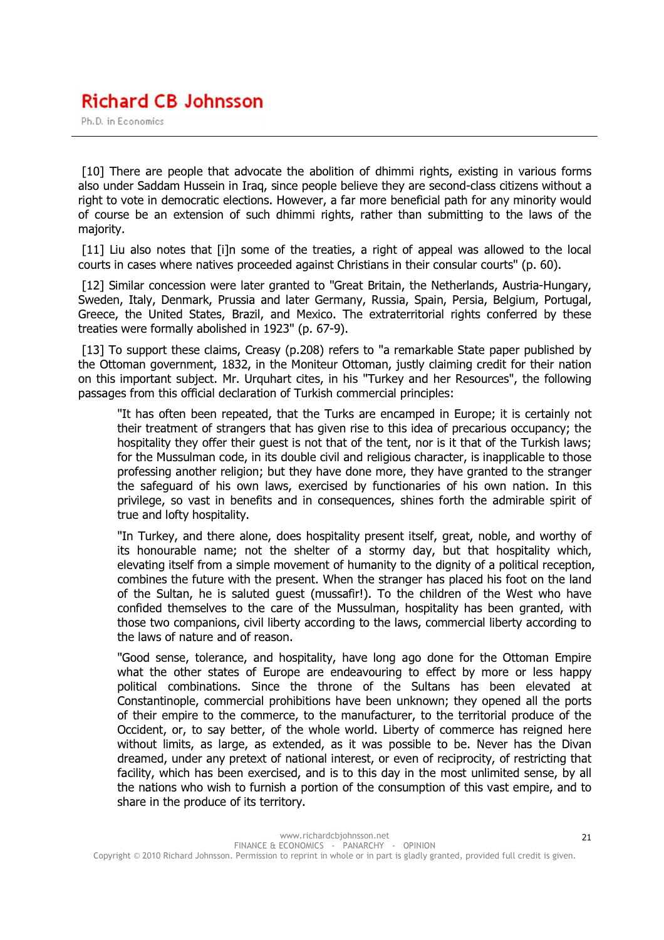Ph.D. in Economics

 [10] There are people that advocate the abolition of dhimmi rights, existing in various forms also under Saddam Hussein in Iraq, since people believe they are second-class citizens without a right to vote in democratic elections. However, a far more beneficial path for any minority would of course be an extension of such dhimmi rights, rather than submitting to the laws of the majority.

[11] Liu also notes that [i]n some of the treaties, a right of appeal was allowed to the local courts in cases where natives proceeded against Christians in their consular courts" (p. 60).

 [12] Similar concession were later granted to "Great Britain, the Netherlands, Austria-Hungary, Sweden, Italy, Denmark, Prussia and later Germany, Russia, Spain, Persia, Belgium, Portugal, Greece, the United States, Brazil, and Mexico. The extraterritorial rights conferred by these treaties were formally abolished in 1923" (p. 67-9).

[13] To support these claims, Creasy (p.208) refers to "a remarkable State paper published by the Ottoman government, 1832, in the Moniteur Ottoman, justly claiming credit for their nation on this important subject. Mr. Urquhart cites, in his "Turkey and her Resources", the following passages from this official declaration of Turkish commercial principles:

"It has often been repeated, that the Turks are encamped in Europe; it is certainly not their treatment of strangers that has given rise to this idea of precarious occupancy; the hospitality they offer their guest is not that of the tent, nor is it that of the Turkish laws; for the Mussulman code, in its double civil and religious character, is inapplicable to those professing another religion; but they have done more, they have granted to the stranger the safeguard of his own laws, exercised by functionaries of his own nation. In this privilege, so vast in benefits and in consequences, shines forth the admirable spirit of true and lofty hospitality.

"In Turkey, and there alone, does hospitality present itself, great, noble, and worthy of its honourable name; not the shelter of a stormy day, but that hospitality which, elevating itself from a simple movement of humanity to the dignity of a political reception, combines the future with the present. When the stranger has placed his foot on the land of the Sultan, he is saluted guest (mussafir!). To the children of the West who have confided themselves to the care of the Mussulman, hospitality has been granted, with those two companions, civil liberty according to the laws, commercial liberty according to the laws of nature and of reason.

"Good sense, tolerance, and hospitality, have long ago done for the Ottoman Empire what the other states of Europe are endeavouring to effect by more or less happy political combinations. Since the throne of the Sultans has been elevated at Constantinople, commercial prohibitions have been unknown; they opened all the ports of their empire to the commerce, to the manufacturer, to the territorial produce of the Occident, or, to say better, of the whole world. Liberty of commerce has reigned here without limits, as large, as extended, as it was possible to be. Never has the Divan dreamed, under any pretext of national interest, or even of reciprocity, of restricting that facility, which has been exercised, and is to this day in the most unlimited sense, by all the nations who wish to furnish a portion of the consumption of this vast empire, and to share in the produce of its territory.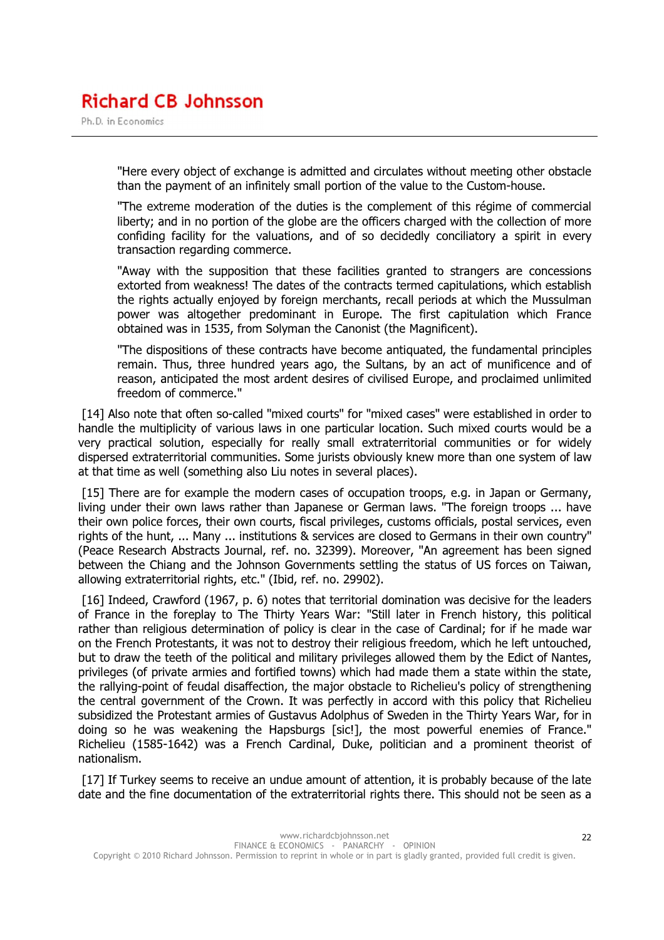Ph.D. in Economics

"Here every object of exchange is admitted and circulates without meeting other obstacle than the payment of an infinitely small portion of the value to the Custom-house.

"The extreme moderation of the duties is the complement of this régime of commercial liberty; and in no portion of the globe are the officers charged with the collection of more confiding facility for the valuations, and of so decidedly conciliatory a spirit in every transaction regarding commerce.

"Away with the supposition that these facilities granted to strangers are concessions extorted from weakness! The dates of the contracts termed capitulations, which establish the rights actually enjoyed by foreign merchants, recall periods at which the Mussulman power was altogether predominant in Europe. The first capitulation which France obtained was in 1535, from Solyman the Canonist (the Magnificent).

"The dispositions of these contracts have become antiquated, the fundamental principles remain. Thus, three hundred years ago, the Sultans, by an act of munificence and of reason, anticipated the most ardent desires of civilised Europe, and proclaimed unlimited freedom of commerce."

[14] Also note that often so-called "mixed courts" for "mixed cases" were established in order to handle the multiplicity of various laws in one particular location. Such mixed courts would be a very practical solution, especially for really small extraterritorial communities or for widely dispersed extraterritorial communities. Some jurists obviously knew more than one system of law at that time as well (something also Liu notes in several places).

[15] There are for example the modern cases of occupation troops, e.g. in Japan or Germany, living under their own laws rather than Japanese or German laws. "The foreign troops ... have their own police forces, their own courts, fiscal privileges, customs officials, postal services, even rights of the hunt, ... Many ... institutions & services are closed to Germans in their own country" (Peace Research Abstracts Journal, ref. no. 32399). Moreover, "An agreement has been signed between the Chiang and the Johnson Governments settling the status of US forces on Taiwan, allowing extraterritorial rights, etc." (Ibid, ref. no. 29902).

[16] Indeed, Crawford (1967, p. 6) notes that territorial domination was decisive for the leaders of France in the foreplay to The Thirty Years War: "Still later in French history, this political rather than religious determination of policy is clear in the case of Cardinal; for if he made war on the French Protestants, it was not to destroy their religious freedom, which he left untouched, but to draw the teeth of the political and military privileges allowed them by the Edict of Nantes, privileges (of private armies and fortified towns) which had made them a state within the state, the rallying-point of feudal disaffection, the major obstacle to Richelieu's policy of strengthening the central government of the Crown. It was perfectly in accord with this policy that Richelieu subsidized the Protestant armies of Gustavus Adolphus of Sweden in the Thirty Years War, for in doing so he was weakening the Hapsburgs [sic!], the most powerful enemies of France." Richelieu (1585-1642) was a French Cardinal, Duke, politician and a prominent theorist of nationalism.

 [17] If Turkey seems to receive an undue amount of attention, it is probably because of the late date and the fine documentation of the extraterritorial rights there. This should not be seen as a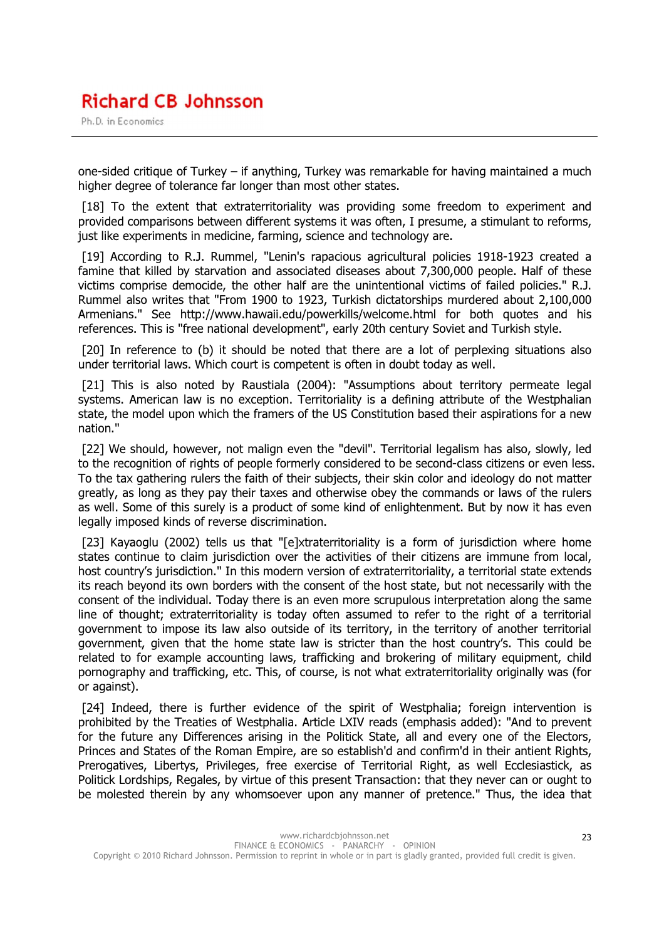Ph.D. in Economics

one-sided critique of Turkey – if anything, Turkey was remarkable for having maintained a much higher degree of tolerance far longer than most other states.

 [18] To the extent that extraterritoriality was providing some freedom to experiment and provided comparisons between different systems it was often, I presume, a stimulant to reforms, just like experiments in medicine, farming, science and technology are.

 [19] According to R.J. Rummel, "Lenin's rapacious agricultural policies 1918-1923 created a famine that killed by starvation and associated diseases about 7,300,000 people. Half of these victims comprise democide, the other half are the unintentional victims of failed policies." R.J. Rummel also writes that "From 1900 to 1923, Turkish dictatorships murdered about 2,100,000 Armenians." See http://www.hawaii.edu/powerkills/welcome.html for both quotes and his references. This is "free national development", early 20th century Soviet and Turkish style.

 [20] In reference to (b) it should be noted that there are a lot of perplexing situations also under territorial laws. Which court is competent is often in doubt today as well.

 [21] This is also noted by Raustiala (2004): "Assumptions about territory permeate legal systems. American law is no exception. Territoriality is a defining attribute of the Westphalian state, the model upon which the framers of the US Constitution based their aspirations for a new nation."

[22] We should, however, not malign even the "devil". Territorial legalism has also, slowly, led to the recognition of rights of people formerly considered to be second-class citizens or even less. To the tax gathering rulers the faith of their subjects, their skin color and ideology do not matter greatly, as long as they pay their taxes and otherwise obey the commands or laws of the rulers as well. Some of this surely is a product of some kind of enlightenment. But by now it has even legally imposed kinds of reverse discrimination.

[23] Kayaoglu (2002) tells us that "[e]xtraterritoriality is a form of jurisdiction where home states continue to claim jurisdiction over the activities of their citizens are immune from local, host country's jurisdiction." In this modern version of extraterritoriality, a territorial state extends its reach beyond its own borders with the consent of the host state, but not necessarily with the consent of the individual. Today there is an even more scrupulous interpretation along the same line of thought; extraterritoriality is today often assumed to refer to the right of a territorial government to impose its law also outside of its territory, in the territory of another territorial government, given that the home state law is stricter than the host country's. This could be related to for example accounting laws, trafficking and brokering of military equipment, child pornography and trafficking, etc. This, of course, is not what extraterritoriality originally was (for or against).

 [24] Indeed, there is further evidence of the spirit of Westphalia; foreign intervention is prohibited by the Treaties of Westphalia. Article LXIV reads (emphasis added): "And to prevent for the future any Differences arising in the Politick State, all and every one of the Electors, Princes and States of the Roman Empire, are so establish'd and confirm'd in their antient Rights, Prerogatives, Libertys, Privileges, free exercise of Territorial Right, as well Ecclesiastick, as Politick Lordships, Regales, by virtue of this present Transaction: that they never can or ought to be molested therein by any whomsoever upon any manner of pretence." Thus, the idea that